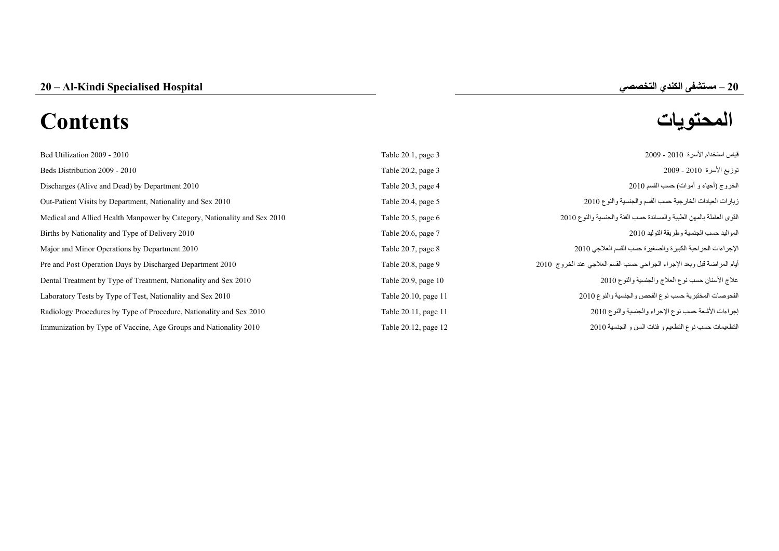**–**

# **المحتويات Contents**

| Bed Utilization 2009 - 2010                                              | Table 20.1, page 3   | قياس استخدام الأسرة 2010 - 2009                                         |
|--------------------------------------------------------------------------|----------------------|-------------------------------------------------------------------------|
| Beds Distribution 2009 - 2010                                            | Table 20.2, page 3   | توزيع الأسرة 2010 - 2009                                                |
| Discharges (Alive and Dead) by Department 2010                           | Table 20.3, page 4   | الخروج (أحياء و أموات) حسب القسم 2010                                   |
| Out-Patient Visits by Department, Nationality and Sex 2010               | Table 20.4, page 5   | زيارات العيادات الخارجية حسب القسم والجنسية والنوع 2010                 |
| Medical and Allied Health Manpower by Category, Nationality and Sex 2010 | Table 20.5, page 6   | القوى العاملة بالمهن الطبية والمساندة حسب الفئة والجنسية والنوع 2010    |
| Births by Nationality and Type of Delivery 2010                          | Table 20.6, page 7   | المواليد حسب الجنسية وطريقة التوليد 2010                                |
| Major and Minor Operations by Department 2010                            | Table 20.7, page 8   | الإجراءات الجراحية الكبيرة والصغيرة حسب القسم العلاجي 2010              |
| Pre and Post Operation Days by Discharged Department 2010                | Table 20.8, page 9   | أيام المراضة قبل وبعد الإجراء الجراحي حسب القسم العلاجي عند الخروج 2010 |
| Dental Treatment by Type of Treatment, Nationality and Sex 2010          | Table 20.9, page 10  | علاج الأسنان حسب نوع العلاج والجنسية والنوع 2010                        |
| Laboratory Tests by Type of Test, Nationality and Sex 2010               | Table 20.10, page 11 | الفحوصات المختبرية حسب نوع الفحص والجنسية والنوع 2010                   |
| Radiology Procedures by Type of Procedure, Nationality and Sex 2010      | Table 20.11, page 11 | إجراءات الأشعة حسب نوع الإجراء والجنسية والنوع 2010                     |
| Immunization by Type of Vaccine, Age Groups and Nationality 2010         | Table 20.12, page 12 | التطعيمات حسب نوع التطعيم و فئات السن و الجنسية 2010                    |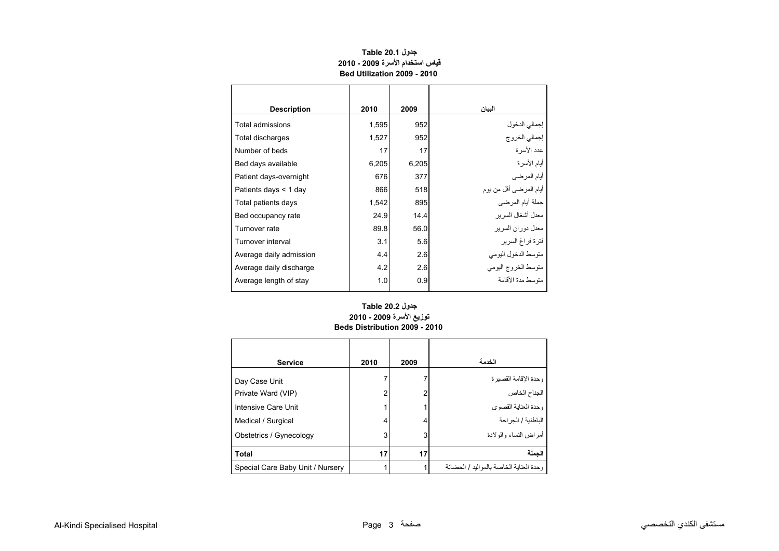<span id="page-1-0"></span>

| <b>Description</b>      | 2010  | 2009  | البيان                  |
|-------------------------|-------|-------|-------------------------|
| Total admissions        | 1,595 | 952   | إجمالي الدخول           |
| Total discharges        | 1,527 | 952   | إجمالي الخروج           |
| Number of beds          | 17    | 17    | عدد الأسر ة             |
| Bed days available      | 6,205 | 6,205 | أيام الأسرة             |
| Patient days-overnight  | 676   | 377   | أيام المرضي             |
| Patients days < 1 day   | 866   | 518   | أيام المرضىي أقل من يوم |
| Total patients days     | 1,542 | 895   | جملة أيام المرضي        |
| Bed occupancy rate      | 24.9  | 14.4  | معدل أشغال السر بر      |
| Turnover rate           | 89.8  | 56.0  | معدل دور ان السر بر     |
| Turnover interval       | 3.1   | 5.6   | فترة فراغ السرير        |
| Average daily admission | 4.4   | 2.6   | متوسط الدخول اليومي     |
| Average daily discharge | 4.2   | 2.6   | متوسط الخروج اليومي     |
| Average length of stay  | 1.0   | 0.9   | منّه سط مدة الأقامة     |
|                         |       |       |                         |

## **جدول 20.1 Table قياس استخدام األسرة 2009 - 2010 Bed Utilization 2009 - 2010**

## **توزيع األسرة 2009 - 2010 Beds Distribution 2009 - 2010 جدول 20.2 Table**

| <b>Service</b>                   | 2010 | 2009 | الخدمة                                     |
|----------------------------------|------|------|--------------------------------------------|
| Day Case Unit                    |      | າ    | وحدة الإقامة القصير ة                      |
| Private Ward (VIP)               | 2    |      | الجناح الخاص<br>وحدة العناية القصوى        |
| Intensive Care Unit              |      |      |                                            |
| Medical / Surgical               | 4    | 4    | الباطنية / الجراحة                         |
| Obstetrics / Gynecology          | 3    | 3    | أمراض النساء والو لادة                     |
| <b>Total</b>                     | 17   | 17   | الحملة                                     |
| Special Care Baby Unit / Nursery |      |      | وحدة العنابة الخاصية بالمو البد / الحضيانة |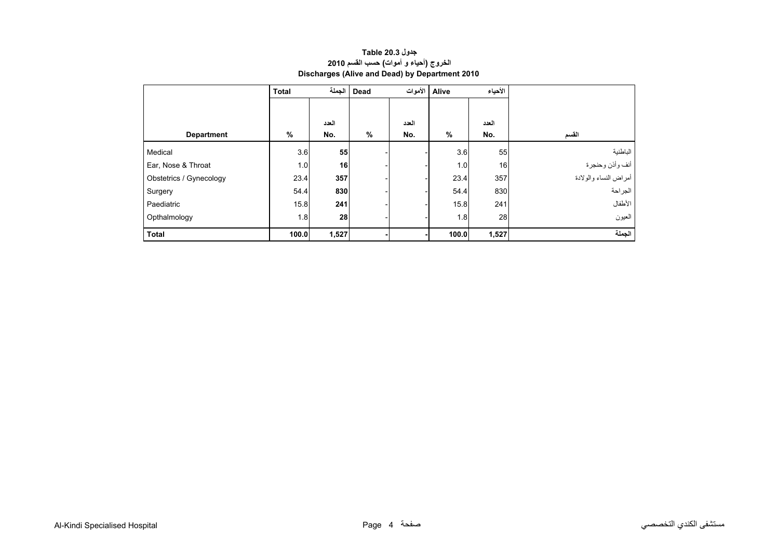<span id="page-2-0"></span>

|                         | <b>Total</b> | Dead   الجملة<br>الأموات<br>Alive |               |       | الأحياء |       |                       |  |
|-------------------------|--------------|-----------------------------------|---------------|-------|---------|-------|-----------------------|--|
|                         |              |                                   |               |       |         |       |                       |  |
|                         |              | العدد                             |               | العدد |         | العدد |                       |  |
| <b>Department</b>       | $\%$         | No.                               | $\frac{0}{0}$ | No.   | %       | No.   | القسم                 |  |
| Medical                 | 3.6          | 55                                |               |       | 3.6     | 55    | الباطنية              |  |
| Ear, Nose & Throat      | 1.0          | 16                                |               |       | 1.0     | 16    | أنف وأذن وحنجرة       |  |
| Obstetrics / Gynecology | 23.4         | 357                               |               |       | 23.4    | 357   | أمراض النساء والولادة |  |
| Surgery                 | 54.4         | 830                               |               |       | 54.4    | 830   | الجراحة               |  |
| Paediatric              | 15.8         | 241                               |               |       | 15.8    | 241   | الأطفال               |  |
| Opthalmology            | 1.8          | 28                                |               |       | 1.8     | 28    | العيون                |  |
| <b>Total</b>            | 100.0        | 1,527                             |               |       | 100.0   | 1,527 | الجملة                |  |

## **جدول 20.3 Table الخروج (أحياء <sup>و</sup> أموات) حسب القسم <sup>2010</sup> Discharges (Alive and Dead) by Department 2010**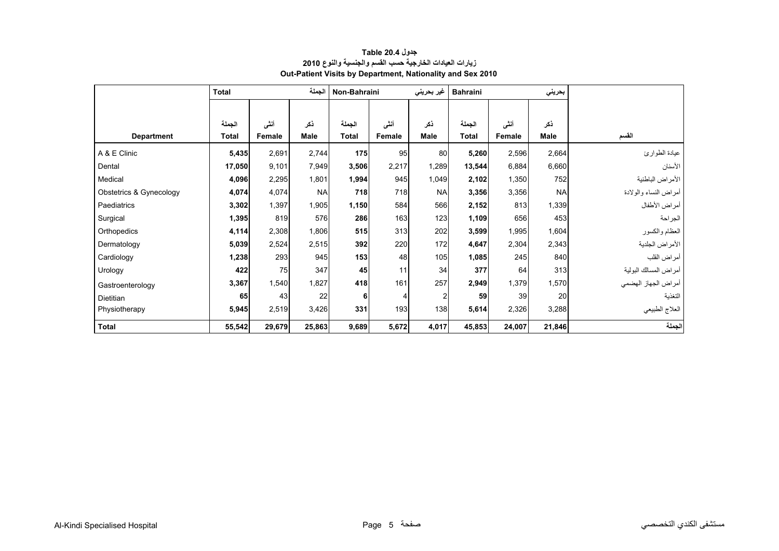<span id="page-3-0"></span>

|                         | الجملة<br><b>Total</b> |        |             | Non-Bahraini<br>غیر بحرین <i>ی</i> |        |                | <b>Bahraini</b> |        | بحريني    |                       |
|-------------------------|------------------------|--------|-------------|------------------------------------|--------|----------------|-----------------|--------|-----------|-----------------------|
|                         |                        |        |             |                                    |        |                |                 |        |           |                       |
|                         | الجملة                 | أننى   | نكر         | الجملة                             | أنشى   | نكر            | الجملة          | أننى   | نكر       |                       |
| <b>Department</b>       | <b>Total</b>           | Female | <b>Male</b> | <b>Total</b>                       | Female | <b>Male</b>    | <b>Total</b>    | Female | Male      | القسم                 |
| A & E Clinic            | 5,435                  | 2,691  | 2,744       | 175                                | 95     | 80             | 5,260           | 2,596  | 2,664     | عيادة الطوارئ         |
| Dental                  | 17,050                 | 9,101  | 7,949       | 3,506                              | 2,217  | .289           | 13,544          | 6,884  | 6,660     | الأسنان               |
| Medical                 | 4,096                  | 2,295  | 1,801       | 1,994                              | 945    | 1,049          | 2,102           | 1,350  | 752       | الأمراض الباطنية      |
| Obstetrics & Gynecology | 4,074                  | 4,074  | <b>NA</b>   | 718                                | 718    | <b>NA</b>      | 3,356           | 3,356  | <b>NA</b> | أمراض النساء والولادة |
| Paediatrics             | 3,302                  | 1,397  | 1,905       | 1,150                              | 584    | 566            | 2,152           | 813    | 1,339     | أمراض الأطفال         |
| Surgical                | 1,395                  | 819    | 576         | 286                                | 163    | 123            | 1,109           | 656    | 453       | الجراحة               |
| Orthopedics             | 4,114                  | 2,308  | 1,806       | 515                                | 313    | 202            | 3,599           | 1,995  | 1,604     | العظام والكسور        |
| Dermatology             | 5,039                  | 2,524  | 2,515       | 392                                | 220    | 172            | 4,647           | 2,304  | 2,343     | الأمراض الجلدية       |
| Cardiology              | 1,238                  | 293    | 945         | 153                                | 48     | 105            | 1,085           | 245    | 840       | أمراض القلب           |
| Urology                 | 422                    | 75     | 347         | 45                                 | 11     | 34             | 377             | 64     | 313       | أمراض المسالك البولية |
| Gastroenterology        | 3,367                  | 1,540  | 1,827       | 418                                | 161    | 257            | 2,949           | 1,379  | 1,570     | أمراض الجهاز الهضمي   |
| <b>Dietitian</b>        | 65                     | 43     | 22          | 6                                  | 4      | $\overline{c}$ | 59              | 39     | 20        | التغذية               |
| Physiotherapy           | 5,945                  | 2,519  | 3,426       | 331                                | 193    | 138            | 5,614           | 2,326  | 3,288     | العلاج الطبيعي        |
| <b>Total</b>            | 55,542                 | 29,679 | 25,863      | 9,689                              | 5,672  | 4,017          | 45,853          | 24,007 | 21,846    | الجملة                |

## **جدول 20.4 Table زيارات العيادات الخارجية حسب القسم والجنسية والنوع <sup>2010</sup> Out-Patient Visits by Department, Nationality and Sex 2010**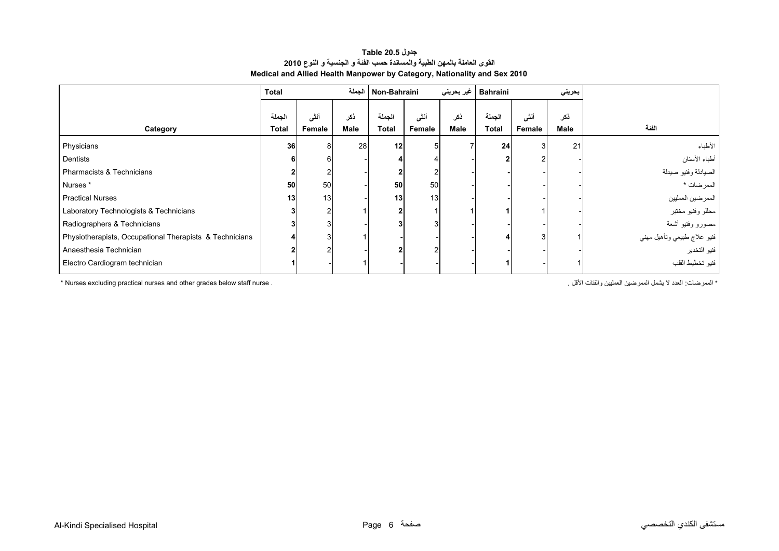### **جدول 20.5 Table القوى العاملة بالمھن الطبية والمساندة حسب الفئة <sup>و</sup> الجنسية <sup>و</sup> النوع <sup>2010</sup> Medical and Allied Health Manpower by Category, Nationality and Sex 2010**

<span id="page-4-0"></span>

|                                                         | <b>Total</b> |                | الحملة<br>Non-Bahraini |              |        | غير بحريني | <b>Bahraini</b> |        | بحريني |                             |
|---------------------------------------------------------|--------------|----------------|------------------------|--------------|--------|------------|-----------------|--------|--------|-----------------------------|
|                                                         |              |                |                        |              |        |            |                 |        |        |                             |
|                                                         | الجملة       | أننى           | ذكر                    | الجملة       | أنشى   | ذكر        | الجملة          | أنشى   | ذكر    |                             |
| Category                                                | Total        | Female         | <b>Male</b>            | <b>Total</b> | Female | Male       | Total           | Female | Male   | الفنة                       |
| Physicians                                              | 36           | 8              | 28                     | 12           |        |            | 24              |        | 21     | الأطباء                     |
| Dentists                                                | 6            | 6              |                        |              |        |            |                 |        |        | أطباء الأسنان               |
| Pharmacists & Technicians                               |              | 2              |                        |              |        |            |                 |        |        | الصيادلة وفنيو صيدلة        |
| Nurses*                                                 | 50           | 50             |                        | 50           | 50     |            |                 |        |        | الممرضات *                  |
| <b>Practical Nurses</b>                                 | 13           | 13             |                        | 13           | 13     |            |                 |        |        | الممرضين العمليين           |
| Laboratory Technologists & Technicians                  |              | 2              |                        |              |        |            |                 |        |        | محللو وفنيو مختبر           |
| Radiographers & Technicians                             |              | 3 <sub>l</sub> |                        |              |        |            |                 |        |        | مصنورو وفنيو أشعة           |
| Physiotherapists, Occupational Therapists & Technicians |              | 3              |                        |              |        |            |                 |        |        | فنيو علاج طبيعي وتأهيل مهني |
| Anaesthesia Technician                                  |              | 2              |                        |              |        |            |                 |        |        | فنيو التخدير                |
| Electro Cardiogram technician                           |              |                |                        |              |        |            |                 |        |        | فنيو تخطيط القلب            |

\* الممرضات: الحدد لا يشمل الممرضين العمليين والفئات الأقل . . . \* Nurses excluding practical nurses and other grades below staff nurse \*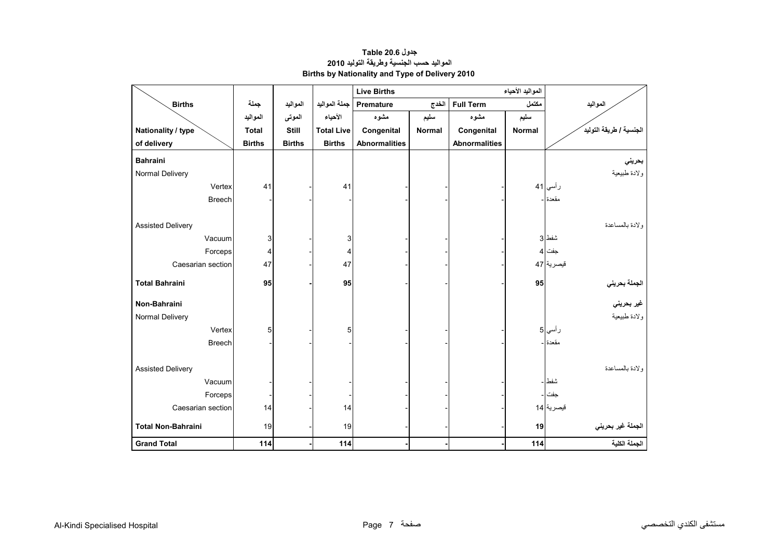<span id="page-5-0"></span>

|                           |               |               |                   | <b>Live Births</b>          |       |                      |               |                         |
|---------------------------|---------------|---------------|-------------------|-----------------------------|-------|----------------------|---------------|-------------------------|
| <b>Births</b>             | جملة          | المواليد      | جملة المواليد     | Premature                   | الخدج | <b>Full Term</b>     | مكتمل         | المواليد                |
|                           | المواليد      | الموتى        | الأحياء           | مشوه                        | سليم  | مشوه                 | سليم          |                         |
| Nationality / type        | <b>Total</b>  | Still         | <b>Total Live</b> | Congenital<br><b>Normal</b> |       | Congenital           | <b>Normal</b> | الجنسية / طريقة التوليد |
| of delivery               | <b>Births</b> | <b>Births</b> | <b>Births</b>     | <b>Abnormalities</b>        |       | <b>Abnormalities</b> |               |                         |
| <b>Bahraini</b>           |               |               |                   |                             |       |                      |               | بحريني                  |
| Normal Delivery           |               |               |                   |                             |       |                      |               | ولادة طبيعية            |
| Vertex                    | 41            |               | 41                |                             |       |                      |               | رأسي 41                 |
| <b>Breech</b>             |               |               |                   |                             |       |                      |               | مقعدة -                 |
|                           |               |               |                   |                             |       |                      |               |                         |
| <b>Assisted Delivery</b>  |               |               |                   |                             |       |                      |               | ولادة بالمساعدة         |
| Vacuum                    | 3             |               | 3                 |                             |       |                      |               | شفط 3                   |
| Forceps                   | 4             |               | $\overline{4}$    |                             |       |                      |               | جفت 4                   |
| Caesarian section         | 47            |               | 47                |                             |       |                      |               | قيصرية 47               |
|                           |               |               |                   |                             |       |                      |               |                         |
| <b>Total Bahraini</b>     | 95            |               | 95                |                             |       |                      | 95            | الجملة بحرين <i>ي</i>   |
| Non-Bahraini              |               |               |                   |                             |       |                      |               | غير بحرين <i>ي</i>      |
| Normal Delivery           |               |               |                   |                             |       |                      |               | ولادة طبيعية            |
| Vertex                    | 5             |               | 5                 |                             |       |                      |               | رأسي 5                  |
| <b>Breech</b>             |               |               |                   |                             |       |                      |               | مقعدة ا-                |
|                           |               |               |                   |                             |       |                      |               |                         |
| <b>Assisted Delivery</b>  |               |               |                   |                             |       |                      |               | ولادة بالمساعدة         |
| Vacuum                    |               |               |                   |                             |       |                      |               | شفط –                   |
| Forceps                   |               |               |                   |                             |       |                      |               | جفت -                   |
| Caesarian section         | 14            |               | 14                |                             |       |                      |               | قيصرية 14               |
| <b>Total Non-Bahraini</b> | 19            |               | 19                |                             |       |                      |               |                         |
|                           |               |               |                   |                             |       |                      | 19            | الجملة غير بحريني       |
| <b>Grand Total</b>        | 114           |               | 114               |                             |       |                      | 114           | الجملة الكلية           |

## **جدول 20.6 Table المواليد حسب الجنسية وطريقة التوليد <sup>2010</sup> Births by Nationality and Type of Delivery 2010**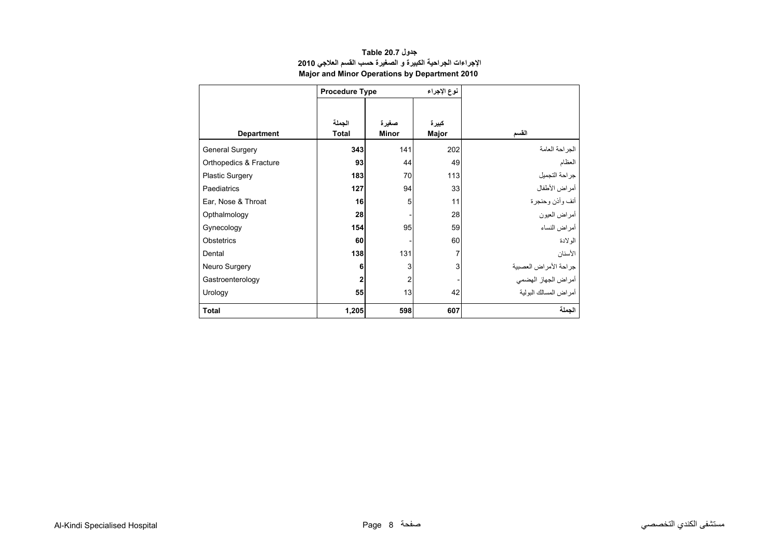<span id="page-6-0"></span>

|                        | <b>Procedure Type</b> |              | نوع الإجراء |                        |
|------------------------|-----------------------|--------------|-------------|------------------------|
|                        |                       |              |             |                        |
|                        | الجملة                | صغيرة        | كبيرة       |                        |
| <b>Department</b>      | <b>Total</b>          | <b>Minor</b> | Major       | القسم                  |
| <b>General Surgery</b> | 343                   | 141          | 202         | الجراحة العامة         |
| Orthopedics & Fracture | 93                    | 44           | 49          | العظام                 |
| Plastic Surgery        | 183                   | 70           | 113         | جر احة التجميل         |
| Paediatrics            | 127                   | 94           | 33          | أمراض الأطفال          |
| Ear, Nose & Throat     | 16                    | 5            | 11          | أنف وأذن وحنجرة        |
| Opthalmology           | 28                    |              | 28          | أمر اض العبون          |
| Gynecology             | 154                   | 95           | 59          | أمراض النساء           |
| Obstetrics             | 60                    |              | 60          | الو لادة               |
| Dental                 | 138                   | 131          | 7           | الأسنان                |
| Neuro Surgery          | 6                     | 3            | 3           | جراحة الأمراض العصبية  |
| Gastroenterology       | $\mathbf{2}$          | 2            |             | أمراض الجهاز الهضمي    |
| Urology                | 55                    | 13           | 42          | أمر اض المسالك البولبة |
| <b>Total</b>           | 1,205                 | 598          | 607         | الجملة                 |

## **جدول 20.7 Table اإلجراءات الجراحية الكبيرة <sup>و</sup> الصغيرة حسب القسم العالجي <sup>2010</sup> Major and Minor Operations by Department 2010**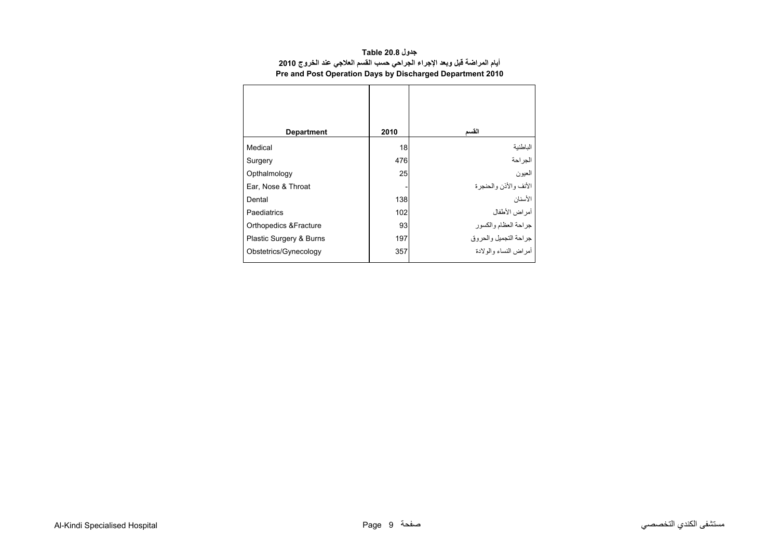| جدول Table 20.8                                                         |
|-------------------------------------------------------------------------|
| أيام المراضة قبل وبعد الإجراء الجراحي حسب القسم العلاجي عند الخروج 2010 |
| Pre and Post Operation Days by Discharged Department 2010               |

<span id="page-7-0"></span>

| <b>Department</b>                | 2010 | القسم                   |
|----------------------------------|------|-------------------------|
| Medical                          | 18   | الباطنية                |
| Surgery                          | 476  | الجر احة                |
| Opthalmology                     | 25   | العيون                  |
| Ear, Nose & Throat               |      | الأنف والأذن والحنجرة   |
| Dental                           | 138  | الأسنان                 |
| Paediatrics                      | 102  | أمراض الأطفال           |
| <b>Orthopedics &amp;Fracture</b> | 93   | جراحة العظام والكسور    |
| Plastic Surgery & Burns          | 197  | جراحة التجميل والحروق   |
| Obstetrics/Gynecology            | 357  | أمر اض النساء والو لادة |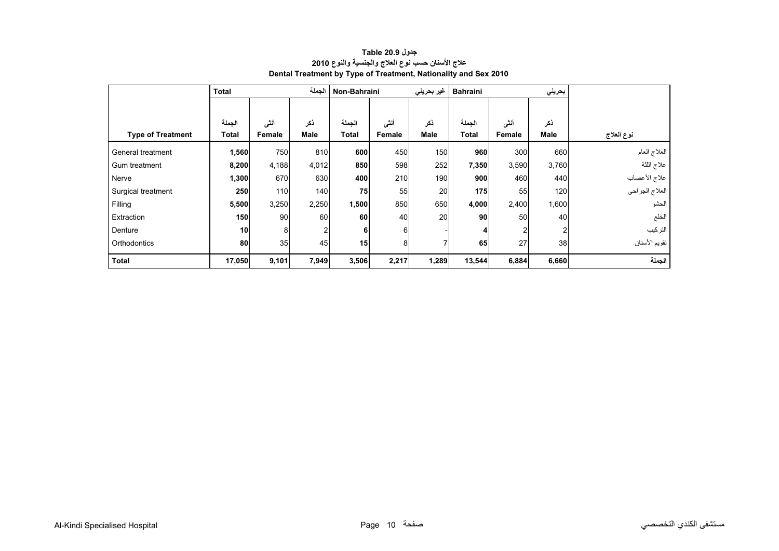<span id="page-8-0"></span>

|                          | <b>Total</b> |        | الجملة      | Non-Bahraini |        | غیر بحرینی  | <b>Bahraini</b> |               |             |                |
|--------------------------|--------------|--------|-------------|--------------|--------|-------------|-----------------|---------------|-------------|----------------|
|                          |              |        |             |              |        |             |                 |               |             |                |
|                          | الجملة       | أنشى   | ذكر         | الجملة       | أننى   | ذكر         | الجملة          | أنثى          | ذكر         |                |
| <b>Type of Treatment</b> | <b>Total</b> | Female | <b>Male</b> | <b>Total</b> | Female | <b>Male</b> | <b>Total</b>    | <b>Female</b> | <b>Male</b> | نوع العلاج     |
| General treatment        | 1,560        | 750    | 810         | 600          | 450    | 150         | 960             | 300           | 660         | العلاج العام   |
| Gum treatment            | 8,200        | 4,188  | 4,012       | 850          | 598    | 252         | 7,350           | 3,590         | 3,760       | علاج اللثة     |
| Nerve                    | 1,300        | 670    | 630         | 400          | 210    | 190         | 900             | 460           | 440         | علاج الأعصاب   |
| Surgical treatment       | 250          | 110    | 140         | 75           | 55     | 20          | 175             | 55            | 120         | العلاج الجراحي |
| Filling                  | 5,500        | 3,250  | 2,250       | 1,500        | 850    | 650         | 4,000           | 2,400         | 1,600       | الحشو          |
| Extraction               | 150          | 90     | 60          | 60           | 40     | 20          | 90              | 50            | 40          | الخلع          |
| Denture                  | 10           | 8      | 2           | 6            | 6      |             | 4               |               | 2           | التركيب        |
| Orthodontics             | 80           | 35     | 45          | 15           | 8      |             | 65              | 27            | 38          | تقويم الأسنان  |
| <b>Total</b>             | 17,050       | 9,101  | 7,949       | 3,506        | 2,217  | 1,289       | 13,544          | 6,884         | 6,660       | الجملة         |

## **جدول 20.9 Table عالج األسنان حسب نوع العالج والجنسية والنوع <sup>2010</sup> Dental Treatment by Type of Treatment, Nationality and Sex 2010**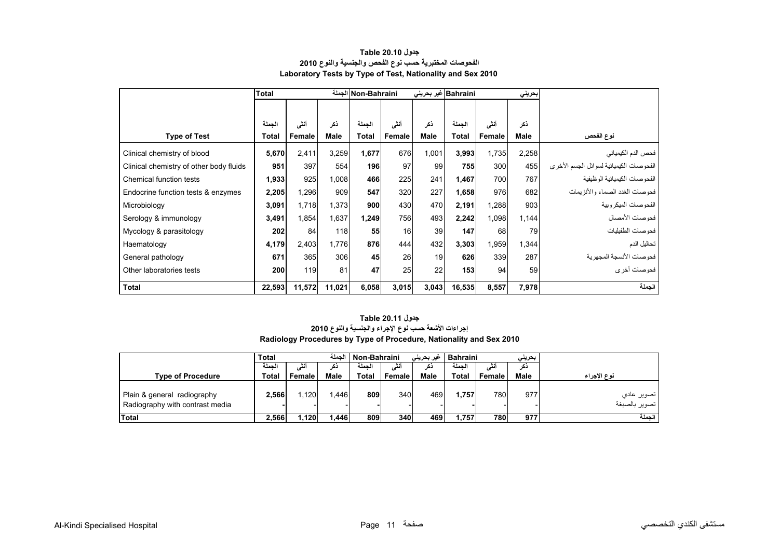<span id="page-9-0"></span>

|                                         | <b>Total</b> |        |        | Non-Bahraini الجملة<br>Bahraini غير بحرين <i>ي</i> |        |             |        |        | بحرينى      |                                         |
|-----------------------------------------|--------------|--------|--------|----------------------------------------------------|--------|-------------|--------|--------|-------------|-----------------------------------------|
|                                         |              |        |        |                                                    |        |             |        |        |             |                                         |
|                                         | الجملة       | أنشى   | نكر    | الجملة                                             | أنشى   | ذكر         | الجملة | أنشى   | ذكر         |                                         |
| <b>Type of Test</b>                     | Total        | Female | Male   | <b>Total</b>                                       | Female | <b>Male</b> | Total  | Female | <b>Male</b> | نوع الفحص                               |
| Clinical chemistry of blood             | 5,670        | 2,411  | 3,259  | 1,677                                              | 676    | 1,001       | 3,993  | 1,735  | 2,258       | فحص الدم الكيميائي                      |
| Clinical chemistry of other body fluids | 951          | 397    | 554    | 196                                                | 97     | 99          | 755    | 300    | 455         | الفحوصات الكيميائية لسوائل الجسم الأخرى |
| Chemical function tests                 | 1,933        | 925    | 1,008  | 466                                                | 225    | 241         | 1,467  | 700    | 767         | الفحو صبات الكيميائية الو ظيفية         |
| Endocrine function tests & enzymes      | 2,205        | 1,296  | 909    | 547                                                | 320    | 227         | 1,658  | 976    | 682         | فحو صبات الغدد الصماء و الأنز يمات      |
| Microbiology                            | 3,091        | 1,718  | 1,373  | 900                                                | 430    | 470         | 2,191  | 1,288  | 903         | الفحو صبات الميكر وبية                  |
| Serology & immunology                   | 3,491        | 1,854  | 1,637  | 1,249                                              | 756    | 493         | 2,242  | 1,098  | 1,144       | فحو صبات الأمصيال                       |
| Mycology & parasitology                 | 202          | 84     | 118    | 55                                                 | 16     | 39          | 147    | 68     | 79          | فحوصات الطفيليات                        |
| Haematology                             | 4,179        | 2,403  | 1.776  | 876                                                | 444    | 432         | 3,303  | 1,959  | 1,344       | تحاليل الدم                             |
| General pathology                       | 671          | 365    | 306    | 45                                                 | 26     | 19          | 626    | 339    | 287         | فحو صبات الأنسجة المجهر بة              |
| Other laboratories tests                | 200          | 119    | 81     | 47                                                 | 25     | 22          | 153    | 94     | 59          | فحو صات أخر ي                           |
| <b>Total</b>                            | 22,593       | 11,572 | 11,021 | 6,058                                              | 3,015  | 3,043       | 16,535 | 8,557  | 7,978       | الجملة                                  |

#### **جدول 20.10 Table الفحوصات المختبرية حسب نوع الفحص والجنسية والنوع <sup>2010</sup> Laboratory Tests by Type of Test, Nationality and Sex 2010**

### **Radiology Procedures by Type of Procedure, Nationality and Sex 2010 جدول 20.11 Table إجراءات األشعة حسب نوع اإلجراء والجنسية والنوع <sup>2010</sup>**

|                                                                | <b>Total</b> |        | الحملة | Non-Bahraini |        | غیر بحرینی | <b>Bahraini</b> | بحرينى |             |                                         |
|----------------------------------------------------------------|--------------|--------|--------|--------------|--------|------------|-----------------|--------|-------------|-----------------------------------------|
|                                                                | لحمله        |        | دحر    | الحمله       |        | دكر        | الحمله          |        | دکر         |                                         |
| <b>Type of Procedure</b>                                       | Total        | Female | Male   | Total        | Female | Male       | <b>Total</b>    | Female | <b>Male</b> | نوع الإجراء                             |
| Plain & general radiography<br>Radiography with contrast media | 2.566        | 1.120  | .446   | 809          | 340    | 469        | 1.757           | 780    | 977         | ً تصوير عاد <i>ي</i><br>ا تصوير بالصبغة |
| <b>Total</b>                                                   | 2.566        | ا120.ا | .446   | 809          | 340    | 469        | 1.757           | 780    | 977         | الحملة                                  |